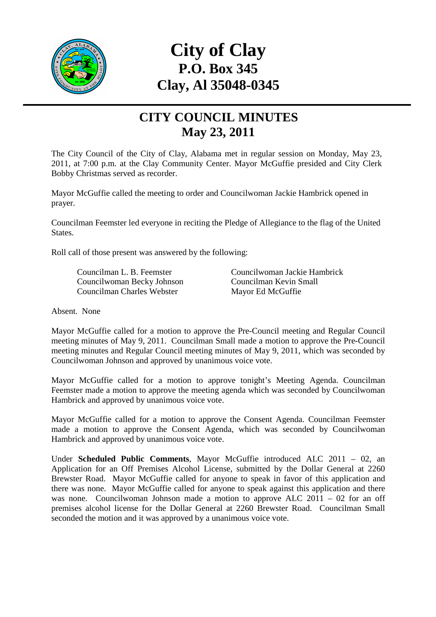

## **City of Clay P.O. Box 345 Clay, Al 35048-0345**

## **CITY COUNCIL MINUTES May 23, 2011**

The City Council of the City of Clay, Alabama met in regular session on Monday, May 23, 2011, at 7:00 p.m. at the Clay Community Center. Mayor McGuffie presided and City Clerk Bobby Christmas served as recorder.

Mayor McGuffie called the meeting to order and Councilwoman Jackie Hambrick opened in prayer.

Councilman Feemster led everyone in reciting the Pledge of Allegiance to the flag of the United States.

Roll call of those present was answered by the following:

 Councilwoman Becky Johnson Councilman Kevin Small Councilman Charles Webster Mayor Ed McGuffie

Councilman L. B. Feemster Councilwoman Jackie Hambrick

Absent. None

Mayor McGuffie called for a motion to approve the Pre-Council meeting and Regular Council meeting minutes of May 9, 2011. Councilman Small made a motion to approve the Pre-Council meeting minutes and Regular Council meeting minutes of May 9, 2011, which was seconded by Councilwoman Johnson and approved by unanimous voice vote.

Mayor McGuffie called for a motion to approve tonight's Meeting Agenda. Councilman Feemster made a motion to approve the meeting agenda which was seconded by Councilwoman Hambrick and approved by unanimous voice vote.

Mayor McGuffie called for a motion to approve the Consent Agenda. Councilman Feemster made a motion to approve the Consent Agenda, which was seconded by Councilwoman Hambrick and approved by unanimous voice vote.

Under **Scheduled Public Comments**, Mayor McGuffie introduced ALC 2011 – 02, an Application for an Off Premises Alcohol License, submitted by the Dollar General at 2260 Brewster Road. Mayor McGuffie called for anyone to speak in favor of this application and there was none. Mayor McGuffie called for anyone to speak against this application and there was none. Councilwoman Johnson made a motion to approve ALC 2011 – 02 for an off premises alcohol license for the Dollar General at 2260 Brewster Road. Councilman Small seconded the motion and it was approved by a unanimous voice vote.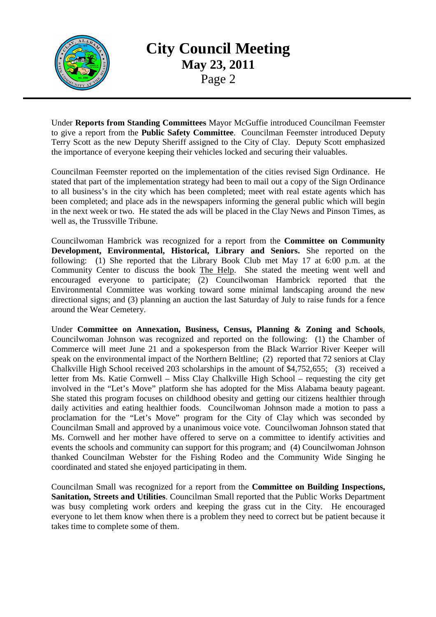

**City Council Meeting May 23, 2011**  Page 2

Under **Reports from Standing Committees** Mayor McGuffie introduced Councilman Feemster to give a report from the **Public Safety Committee**. Councilman Feemster introduced Deputy Terry Scott as the new Deputy Sheriff assigned to the City of Clay. Deputy Scott emphasized the importance of everyone keeping their vehicles locked and securing their valuables.

Councilman Feemster reported on the implementation of the cities revised Sign Ordinance. He stated that part of the implementation strategy had been to mail out a copy of the Sign Ordinance to all business's in the city which has been completed; meet with real estate agents which has been completed; and place ads in the newspapers informing the general public which will begin in the next week or two. He stated the ads will be placed in the Clay News and Pinson Times, as well as, the Trussville Tribune.

Councilwoman Hambrick was recognized for a report from the **Committee on Community Development, Environmental, Historical, Library and Seniors.** She reported on the following: (1) She reported that the Library Book Club met May 17 at 6:00 p.m. at the Community Center to discuss the book The Help. She stated the meeting went well and encouraged everyone to participate; (2) Councilwoman Hambrick reported that the Environmental Committee was working toward some minimal landscaping around the new directional signs; and (3) planning an auction the last Saturday of July to raise funds for a fence around the Wear Cemetery.

Under **Committee on Annexation, Business, Census, Planning & Zoning and Schools**, Councilwoman Johnson was recognized and reported on the following: (1) the Chamber of Commerce will meet June 21 and a spokesperson from the Black Warrior River Keeper will speak on the environmental impact of the Northern Beltline; (2) reported that 72 seniors at Clay Chalkville High School received 203 scholarships in the amount of \$4,752,655; (3) received a letter from Ms. Katie Cornwell – Miss Clay Chalkville High School – requesting the city get involved in the "Let's Move" platform she has adopted for the Miss Alabama beauty pageant. She stated this program focuses on childhood obesity and getting our citizens healthier through daily activities and eating healthier foods. Councilwoman Johnson made a motion to pass a proclamation for the "Let's Move" program for the City of Clay which was seconded by Councilman Small and approved by a unanimous voice vote. Councilwoman Johnson stated that Ms. Cornwell and her mother have offered to serve on a committee to identify activities and events the schools and community can support for this program; and (4) Councilwoman Johnson thanked Councilman Webster for the Fishing Rodeo and the Community Wide Singing he coordinated and stated she enjoyed participating in them.

Councilman Small was recognized for a report from the **Committee on Building Inspections, Sanitation, Streets and Utilities**. Councilman Small reported that the Public Works Department was busy completing work orders and keeping the grass cut in the City. He encouraged everyone to let them know when there is a problem they need to correct but be patient because it takes time to complete some of them.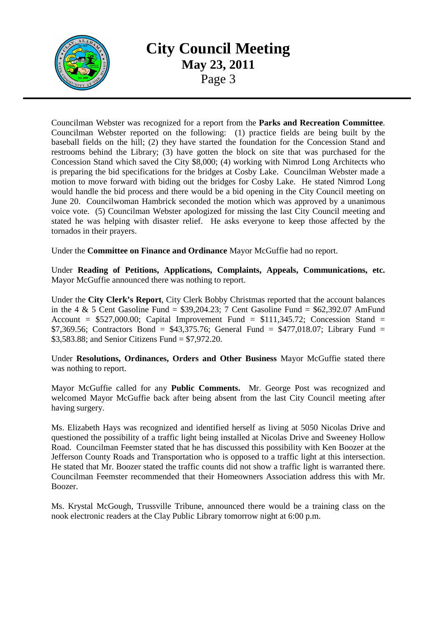

## **City Council Meeting May 23, 2011**  Page 3

Councilman Webster was recognized for a report from the **Parks and Recreation Committee**. Councilman Webster reported on the following: (1) practice fields are being built by the baseball fields on the hill; (2) they have started the foundation for the Concession Stand and restrooms behind the Library; (3) have gotten the block on site that was purchased for the Concession Stand which saved the City \$8,000; (4) working with Nimrod Long Architects who is preparing the bid specifications for the bridges at Cosby Lake. Councilman Webster made a motion to move forward with biding out the bridges for Cosby Lake. He stated Nimrod Long would handle the bid process and there would be a bid opening in the City Council meeting on June 20. Councilwoman Hambrick seconded the motion which was approved by a unanimous voice vote. (5) Councilman Webster apologized for missing the last City Council meeting and stated he was helping with disaster relief. He asks everyone to keep those affected by the tornados in their prayers.

Under the **Committee on Finance and Ordinance** Mayor McGuffie had no report.

Under **Reading of Petitions, Applications, Complaints, Appeals, Communications, etc.** Mayor McGuffie announced there was nothing to report.

Under the **City Clerk's Report**, City Clerk Bobby Christmas reported that the account balances in the 4  $\&$  5 Cent Gasoline Fund = \$39,204.23; 7 Cent Gasoline Fund = \$62,392.07 AmFund Account =  $$527,000.00$ ; Capital Improvement Fund =  $$111,345.72$ ; Concession Stand = \$7,369.56; Contractors Bond = \$43,375.76; General Fund = \$477,018.07; Library Fund = \$3,583.88; and Senior Citizens Fund = \$7,972.20.

Under **Resolutions, Ordinances, Orders and Other Business** Mayor McGuffie stated there was nothing to report.

Mayor McGuffie called for any **Public Comments.** Mr. George Post was recognized and welcomed Mayor McGuffie back after being absent from the last City Council meeting after having surgery.

Ms. Elizabeth Hays was recognized and identified herself as living at 5050 Nicolas Drive and questioned the possibility of a traffic light being installed at Nicolas Drive and Sweeney Hollow Road. Councilman Feemster stated that he has discussed this possibility with Ken Boozer at the Jefferson County Roads and Transportation who is opposed to a traffic light at this intersection. He stated that Mr. Boozer stated the traffic counts did not show a traffic light is warranted there. Councilman Feemster recommended that their Homeowners Association address this with Mr. Boozer.

Ms. Krystal McGough, Trussville Tribune, announced there would be a training class on the nook electronic readers at the Clay Public Library tomorrow night at 6:00 p.m.